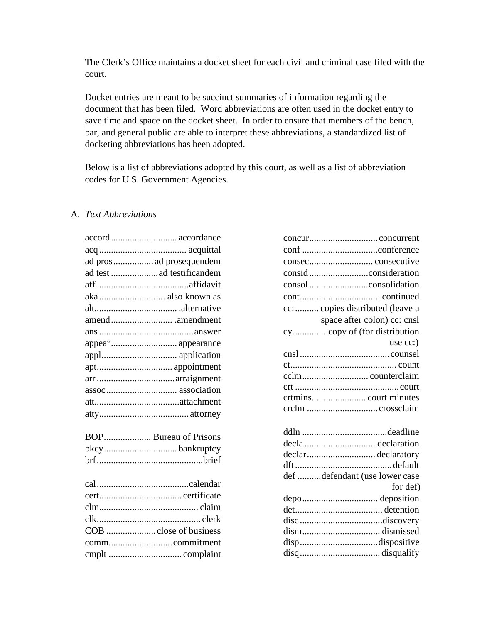The Clerk's Office maintains a docket sheet for each civil and criminal case filed with the court.

Docket entries are meant to be succinct summaries of information regarding the document that has been filed. Word abbreviations are often used in the docket entry to save time and space on the docket sheet. In order to ensure that members of the bench, bar, and general public are able to interpret these abbreviations, a standardized list of docketing abbreviations has been adopted.

Below is a list of abbreviations adopted by this court, as well as a list of abbreviation codes for U.S. Government Agencies.

## A. *Text Abbreviations*

| accord accordance        |
|--------------------------|
|                          |
| ad pros  ad prosequendem |
| ad test ad testificandem |
|                          |
| aka also known as        |
|                          |
|                          |
|                          |
| appear appearance        |
|                          |
|                          |
|                          |
|                          |
|                          |
|                          |
| BOP Bureau of Prisons    |
|                          |
|                          |
|                          |
|                          |
|                          |
|                          |
|                          |
| COB close of business    |
|                          |
|                          |

| cc:  copies distributed (leave a |
|----------------------------------|
| space after colon) cc: cnsl      |
|                                  |
| use $cc$ :)                      |
|                                  |
|                                  |
|                                  |
|                                  |
|                                  |
|                                  |
|                                  |
|                                  |
|                                  |
| declardeclaratory                |
|                                  |
| def defendant (use lower case    |
| for def)                         |
|                                  |
|                                  |
|                                  |
|                                  |
|                                  |
|                                  |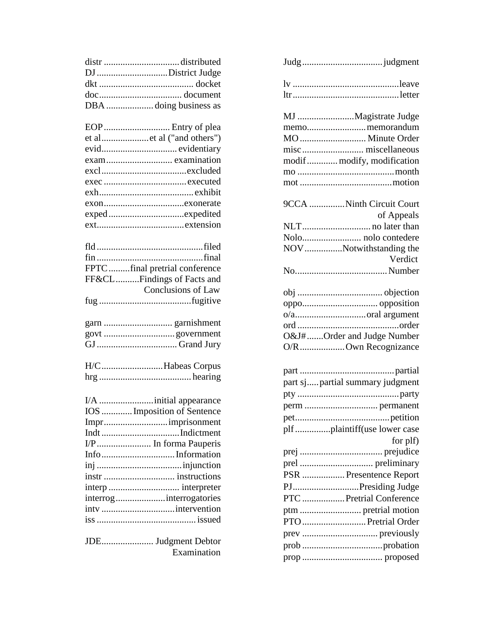| distr distributed                  |  |
|------------------------------------|--|
| DJ District Judge                  |  |
|                                    |  |
|                                    |  |
| DBA  doing business as             |  |
|                                    |  |
| EOP  Entry of plea                 |  |
| et alet al ("and others")          |  |
|                                    |  |
| exam examination                   |  |
|                                    |  |
|                                    |  |
|                                    |  |
|                                    |  |
|                                    |  |
|                                    |  |
|                                    |  |
|                                    |  |
|                                    |  |
| FPTC final pretrial conference     |  |
| FF&CLFindings of Facts and         |  |
| <b>Conclusions of Law</b>          |  |
|                                    |  |
|                                    |  |
|                                    |  |
|                                    |  |
|                                    |  |
|                                    |  |
| H/CHabeas Corpus                   |  |
|                                    |  |
|                                    |  |
|                                    |  |
| IOS  Imposition of Sentence        |  |
|                                    |  |
|                                    |  |
| I/P In forma Pauperis              |  |
|                                    |  |
|                                    |  |
| instr  instructions                |  |
| interp  interpreter                |  |
| interroginterrogatories            |  |
| intv intervention                  |  |
|                                    |  |
|                                    |  |
| JDE Judgment Debtor<br>Examination |  |
|                                    |  |

| MJ Magistrate Judge             |  |
|---------------------------------|--|
| memomemorandum                  |  |
| MO  Minute Order                |  |
|                                 |  |
| modif modify, modification      |  |
|                                 |  |
|                                 |  |
|                                 |  |
| 9CCA Ninth Circuit Court        |  |
| of Appeals                      |  |
|                                 |  |
|                                 |  |
| NOV Notwithstanding the         |  |
| Verdict                         |  |
|                                 |  |
|                                 |  |
|                                 |  |
|                                 |  |
|                                 |  |
| O&J#Order and Judge Number      |  |
| O/ROwn Recognizance             |  |
|                                 |  |
|                                 |  |
| part sjpartial summary judgment |  |
|                                 |  |
|                                 |  |
|                                 |  |
| plf plaintiff(use lower case    |  |
| for plf)                        |  |
|                                 |  |
|                                 |  |
| PSR  Presentence Report         |  |
| PJPresiding Judge               |  |
| PTC  Pretrial Conference        |  |
|                                 |  |
| PTO  Pretrial Order             |  |
|                                 |  |
|                                 |  |
|                                 |  |
|                                 |  |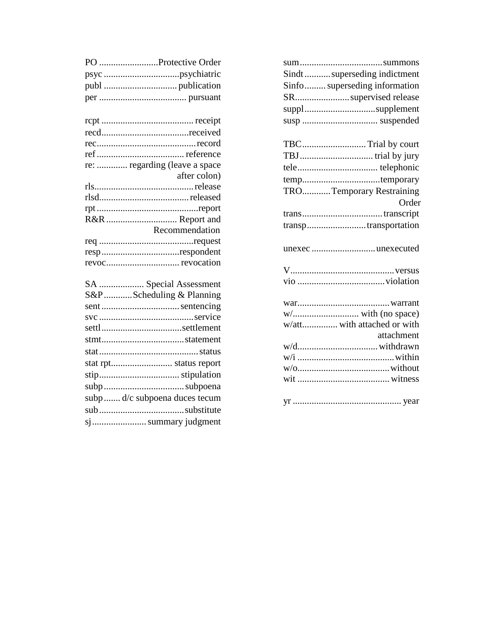| Sindt  superseding indictment |
|-------------------------------|
| Sinfo superseding information |
| SRsupervised release          |
| supplsupplement               |
|                               |
| TBC Trial by court            |
|                               |
|                               |
|                               |
| TROTemporary Restraining      |
| Order                         |
|                               |
| transptransportation          |
| unexec unexecuted             |
|                               |
|                               |
|                               |
|                               |
|                               |
| w/att with attached or with   |
| attachment                    |
|                               |
|                               |
|                               |
|                               |

| PO Protective Order           |
|-------------------------------|
|                               |
|                               |
|                               |
|                               |
|                               |
|                               |
|                               |
|                               |
| re:  regarding (leave a space |
| after colon)                  |
|                               |
|                               |
|                               |
| R&R  Report and               |
| Recommendation                |
| resprespondent                |
|                               |
|                               |
| SA  Special Assessment        |
| S&P Scheduling & Planning     |
|                               |
|                               |
|                               |
|                               |
|                               |
|                               |
|                               |
|                               |
| subp d/c subpoena duces tecum |
|                               |
| sj summary judgment           |
|                               |